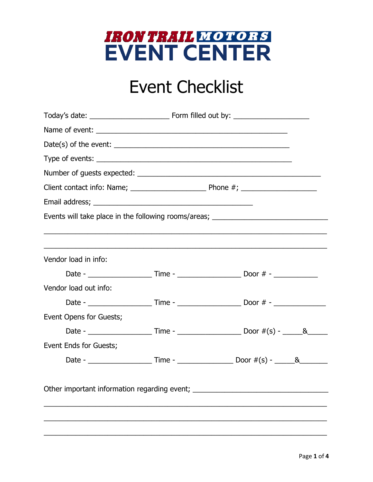

# **Event Checklist**

|                                                                                  |  | Events will take place in the following rooms/areas; ___________________________ |  |
|----------------------------------------------------------------------------------|--|----------------------------------------------------------------------------------|--|
|                                                                                  |  |                                                                                  |  |
|                                                                                  |  |                                                                                  |  |
| Vendor load in info:                                                             |  |                                                                                  |  |
|                                                                                  |  |                                                                                  |  |
| Vendor load out info:                                                            |  |                                                                                  |  |
|                                                                                  |  |                                                                                  |  |
| Event Opens for Guests;                                                          |  |                                                                                  |  |
|                                                                                  |  |                                                                                  |  |
| Event Ends for Guests;                                                           |  |                                                                                  |  |
|                                                                                  |  |                                                                                  |  |
|                                                                                  |  |                                                                                  |  |
| Other important information regarding event; ___________________________________ |  |                                                                                  |  |
|                                                                                  |  |                                                                                  |  |
|                                                                                  |  |                                                                                  |  |
|                                                                                  |  |                                                                                  |  |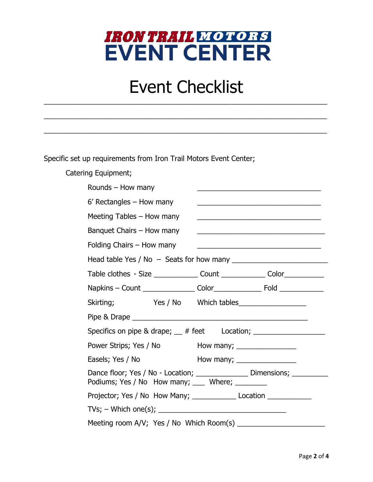### IRON TRAIL MOTORS **EVENT CENTER**

## Event Checklist

\_\_\_\_\_\_\_\_\_\_\_\_\_\_\_\_\_\_\_\_\_\_\_\_\_\_\_\_\_\_\_\_\_\_\_\_\_\_\_\_\_\_\_\_\_\_\_\_\_\_\_\_\_\_\_\_\_\_\_\_\_\_\_\_\_\_\_\_\_\_\_

\_\_\_\_\_\_\_\_\_\_\_\_\_\_\_\_\_\_\_\_\_\_\_\_\_\_\_\_\_\_\_\_\_\_\_\_\_\_\_\_\_\_\_\_\_\_\_\_\_\_\_\_\_\_\_\_\_\_\_\_\_\_\_\_\_\_\_\_\_\_\_

\_\_\_\_\_\_\_\_\_\_\_\_\_\_\_\_\_\_\_\_\_\_\_\_\_\_\_\_\_\_\_\_\_\_\_\_\_\_\_\_\_\_\_\_\_\_\_\_\_\_\_\_\_\_\_\_\_\_\_\_\_\_\_\_\_\_\_\_\_\_\_

Specific set up requirements from Iron Trail Motors Event Center;

Catering Equipment;

| Rounds - How many                                                                |                                                                                                                                                                                                                                                                           |  |  |
|----------------------------------------------------------------------------------|---------------------------------------------------------------------------------------------------------------------------------------------------------------------------------------------------------------------------------------------------------------------------|--|--|
| $6'$ Rectangles $-$ How many                                                     | <u> 1989 - Johann John Stein, markin sanadi a shekara 1980 - An tsa a shekara 1980 - An tsa a shekara 1980 - An t</u>                                                                                                                                                     |  |  |
| Meeting Tables - How many                                                        | <u> 1989 - Johann Barn, mars ann an t-Amhain an t-Amhain an t-Amhain an t-Amhain an t-Amhain an t-Amhain an t-Amh</u>                                                                                                                                                     |  |  |
| Banquet Chairs - How many                                                        | <u> 1990 - Jan James James James James James James James James James James James James James James James James J</u>                                                                                                                                                      |  |  |
| Folding Chairs - How many                                                        |                                                                                                                                                                                                                                                                           |  |  |
|                                                                                  |                                                                                                                                                                                                                                                                           |  |  |
|                                                                                  | Table clothes - Size _______________ Count ______________ Color____________                                                                                                                                                                                               |  |  |
|                                                                                  |                                                                                                                                                                                                                                                                           |  |  |
| Skirting;                                                                        |                                                                                                                                                                                                                                                                           |  |  |
|                                                                                  |                                                                                                                                                                                                                                                                           |  |  |
|                                                                                  |                                                                                                                                                                                                                                                                           |  |  |
| Power Strips; Yes / No                                                           | How many; $\frac{1}{2}$ How many; $\frac{1}{2}$ How many; $\frac{1}{2}$ How many; $\frac{1}{2}$ How many; $\frac{1}{2}$ How many; $\frac{1}{2}$ How many; $\frac{1}{2}$ How many; $\frac{1}{2}$ How many; $\frac{1}{2}$ How many; $\frac{1}{2}$ How many; $\frac{1}{2}$ H |  |  |
| Easels; Yes / No                                                                 | How many; $\frac{1}{2}$ How many; $\frac{1}{2}$ How many; $\frac{1}{2}$ How many; $\frac{1}{2}$ How many; $\frac{1}{2}$ How many; $\frac{1}{2}$ How many; $\frac{1}{2}$ How many; $\frac{1}{2}$ How many; $\frac{1}{2}$ How many; $\frac{1}{2}$ How many; $\frac{1}{2}$ H |  |  |
| Podiums; Yes / No How many; ____ Where; ________                                 | Dance floor; Yes / No - Location; ______________ Dimensions; _______                                                                                                                                                                                                      |  |  |
| Projector; Yes / No How Many; ________________ Location ________________________ |                                                                                                                                                                                                                                                                           |  |  |
|                                                                                  |                                                                                                                                                                                                                                                                           |  |  |
| Meeting room A/V; Yes / No Which Room(s) _________                               |                                                                                                                                                                                                                                                                           |  |  |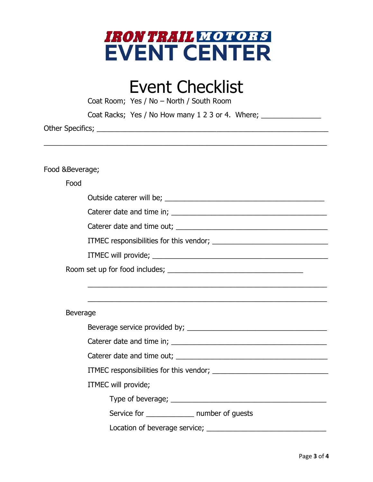

### Event Checklist

|                | Coat Room; Yes / No - North / South Room                                         |
|----------------|----------------------------------------------------------------------------------|
|                | Coat Racks; Yes / No How many 1 2 3 or 4. Where; _______________                 |
|                |                                                                                  |
|                |                                                                                  |
|                |                                                                                  |
| Food &Beverage |                                                                                  |
| Food           |                                                                                  |
|                |                                                                                  |
|                |                                                                                  |
|                |                                                                                  |
|                |                                                                                  |
|                |                                                                                  |
|                |                                                                                  |
|                | ,我们也不能在这里的时候,我们也不能在这里的时候,我们也不能在这里的时候,我们也不能会在这里的时候,我们也不能会在这里的时候,我们也不能会在这里的时候,我们也不 |
|                | ,我们也不能在这里的时候,我们也不能在这里的时候,我们也不能在这里的时候,我们也不能会在这里的时候,我们也不能会在这里的时候,我们也不能会在这里的时候,我们也不 |
| Beverage       |                                                                                  |
|                |                                                                                  |
|                |                                                                                  |
|                |                                                                                  |
|                |                                                                                  |
|                | ITMEC will provide;                                                              |
|                |                                                                                  |
|                | Service for _______________ number of guests                                     |
|                |                                                                                  |

Location of beverage service; \_\_\_\_\_\_\_\_\_\_\_\_\_\_\_\_\_\_\_\_\_\_\_\_\_\_\_\_\_\_